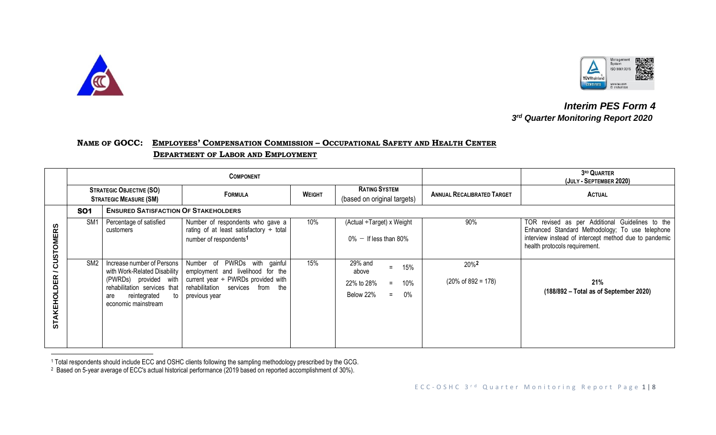



 *Interim PES Form 4 3* **3rd Quarter Monitoring Report 2020** 

## NAME OF GOCC: EMPLOYEES' COMPENSATION COMMISSION - OCCUPATIONAL SAFETY AND HEALTH CENTER  **DEPARTMENT OF LABOR AND EMPLOYMENT**

|                         |                 |                                                                                                                                                                               | <b>COMPONENT</b>                                                                                                                                                  |     | 3RD QUARTER<br>(JULY - SEPTEMBER 2020)                                           |                                                    |                                                                                                                                                                                              |
|-------------------------|-----------------|-------------------------------------------------------------------------------------------------------------------------------------------------------------------------------|-------------------------------------------------------------------------------------------------------------------------------------------------------------------|-----|----------------------------------------------------------------------------------|----------------------------------------------------|----------------------------------------------------------------------------------------------------------------------------------------------------------------------------------------------|
|                         |                 | <b>STRATEGIC OBJECTIVE (SO)</b><br><b>STRATEGIC MEASURE (SM)</b>                                                                                                              | <b>FORMULA</b>                                                                                                                                                    |     | <b>RATING SYSTEM</b><br>(based on original targets)                              | <b>ANNUAL RECALIBRATED TARGET</b>                  | <b>ACTUAL</b>                                                                                                                                                                                |
|                         | <b>SO1</b>      | <b>ENSURED SATISFACTION OF STAKEHOLDERS</b>                                                                                                                                   |                                                                                                                                                                   |     |                                                                                  |                                                    |                                                                                                                                                                                              |
| <b>USTOMERS</b>         | SM <sub>1</sub> | Percentage of satisfied<br>customers                                                                                                                                          | Number of respondents who gave a<br>rating of at least satisfactory $\div$ total<br>number of respondents <sup>1</sup>                                            | 10% | (Actual ÷Target) x Weight<br>$0\%$ - If less than 80%                            | 90%                                                | TOR revised as per Additional Guidelines to the<br>Enhanced Standard Methodology; To use telephone<br>interview instead of intercept method due to pandemic<br>health protocols requirement. |
| ပ<br><b>STAKEHOLDER</b> | SM <sub>2</sub> | Increase number of Persons  <br>with Work-Related Disability  <br>(PWRDs) provided with<br>rehabilitation services that<br>reintegrated<br>to l<br>are<br>economic mainstream | Number of PWRDs with gainful<br>employment and livelihood for the<br>current year $\div$ PWRDs provided with<br>rehabilitation services from the<br>previous year | 15% | 29% and<br>15%<br>above<br>22% to 28%<br>10%<br>$=$<br>Below 22%<br>$0\%$<br>$=$ | 20% <sup>2</sup><br>$(20\% \text{ of } 892 = 178)$ | 21%<br>(188/892 – Total as of September 2020)                                                                                                                                                |

<sup>1</sup> Total respondents should include ECC and OSHC clients following the sampling methodology prescribed by the GCG.

<sup>2</sup> Based on 5-year average of ECC's actual historical performance (2019 based on reported accomplishment of 30%).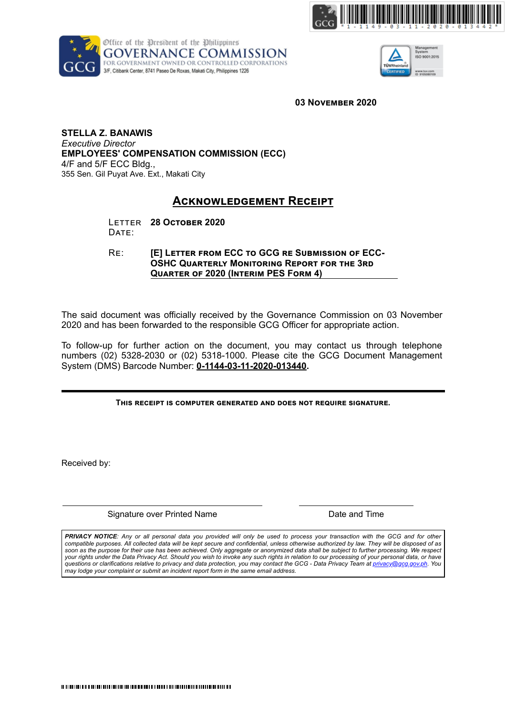





**03 NOVEMBER 2020** 

**STELLA Z. BANAWIS**  *Executive Director* **EMPLOYEES' COMPENSATION COMMISSION (ECC)** 4/F and 5/F ECC Bldg., 355 Sen. Gil Puyat Ave. Ext., Makati City

## **ACKNOWLEDGEMENT RECEIPT**

LETTER 28 OCTOBER 2020 DATE:

RE: **[E] LETTER FROM ECC TO GCG RE SUBMISSION OF ECC-OSHC QUARTERLY MONITORING REPORT FOR THE 3RD QUARTER OF 2020 (INTERIM PES FORM 4)** 

The said document was officially received by the Governance Commission on 03 November 2020 and has been forwarded to the responsible GCG Officer for appropriate action.

To follow-up for further action on the document, you may contact us through telephone numbers (02) 5328-2030 or (02) 5318-1000. Please cite the GCG Document Management System (DMS) Barcode Number: **0-1144-03-11-2020-013440.**

THIS RECEIPT IS COMPUTER GENERATED AND DOES NOT REQUIRE SIGNATURE.

Received by:

Signature over Printed Name **Date and Time** Date and Time

*PRIVACY NOTICE: Any or all personal data you provided will only be used to process your transaction with the GCG and for other compatible purposes. All collected data will be kept secure and confidential, unless otherwise authorized by law. They will be disposed of as soon as the purpose for their use has been achieved. Only aggregate or anonymized data shall be subject to further processing. We respect your rights under the Data Privacy Act. Should you wish to invoke any such rights in relation to our processing of your personal data, or have questions or clarifications relative to privacy and data protection, you may contact the GCG - Data Privacy Team at privacy@gcg.gov.ph. You may lodge your complaint or submit an incident report form in the same email address.*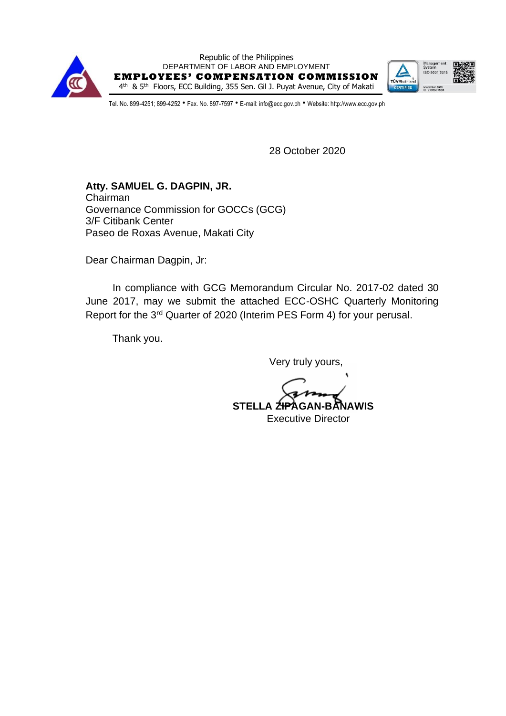

Republic of the Philippines DEPARTMENT OF LABOR AND EMPLOYMENT **EMPLOYEES ' COMPENSATION COMMISSION** 4<sup>th</sup> & 5<sup>th</sup> Floors, ECC Building, 355 Sen. Gil J. Puyat Avenue, City of Makati



Tel. No. 899-4251; 899-4252 · Fax. No. 897-7597 · E-mail: info@ecc.gov.ph · Website: http://www.ecc.gov.ph

28 October 2020

**Atty. SAMUEL G. DAGPIN, JR.** Chairman Governance Commission for GOCCs (GCG) 3/F Citibank Center Paseo de Roxas Avenue, Makati City

Dear Chairman Dagpin, Jr:

In compliance with GCG Memorandum Circular No. 2017-02 dated 30 June 2017, may we submit the attached ECC-OSHC Quarterly Monitoring Report for the 3rd Quarter of 2020 (Interim PES Form 4) for your perusal.

Thank you.

Very truly yours,

 **STELLA ZIPAGAN-BANAWIS** Executive Director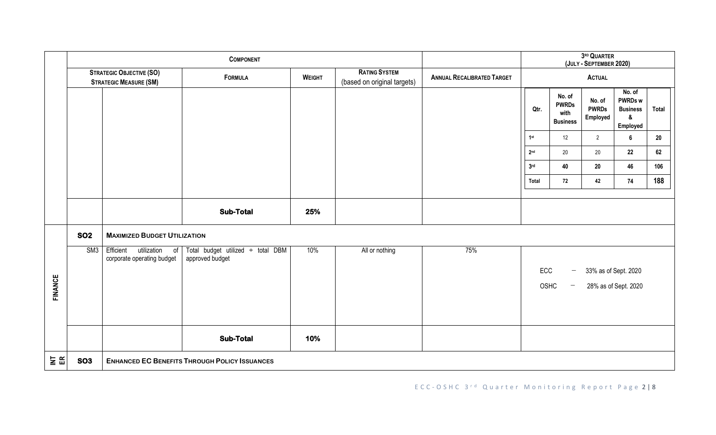|                     |                                                                                    |                                                              |                                                      | 3RD QUARTER<br>(JULY - SEPTEMBER 2020)              |                                   |               |                                                                                                                     |                                                   |                                    |                                                                       |       |
|---------------------|------------------------------------------------------------------------------------|--------------------------------------------------------------|------------------------------------------------------|-----------------------------------------------------|-----------------------------------|---------------|---------------------------------------------------------------------------------------------------------------------|---------------------------------------------------|------------------------------------|-----------------------------------------------------------------------|-------|
|                     | <b>STRATEGIC OBJECTIVE (SO)</b><br><b>FORMULA</b><br><b>STRATEGIC MEASURE (SM)</b> |                                                              | <b>WEIGHT</b>                                        | <b>RATING SYSTEM</b><br>(based on original targets) | <b>ANNUAL RECALIBRATED TARGET</b> | <b>ACTUAL</b> |                                                                                                                     |                                                   |                                    |                                                                       |       |
|                     |                                                                                    |                                                              |                                                      |                                                     |                                   |               | Qtr.                                                                                                                | No. of<br><b>PWRDs</b><br>with<br><b>Business</b> | No. of<br><b>PWRDs</b><br>Employed | No. of<br><b>PWRDs w</b><br><b>Business</b><br>$\pmb{\&}$<br>Employed | Total |
|                     |                                                                                    |                                                              |                                                      |                                                     |                                   |               | 1st                                                                                                                 | 12                                                | $\overline{2}$                     | $\bf 6$                                                               | 20    |
|                     |                                                                                    |                                                              |                                                      |                                                     |                                   |               | 2 <sub>nd</sub>                                                                                                     | 20                                                | 20                                 | 22                                                                    | 62    |
|                     |                                                                                    |                                                              |                                                      |                                                     |                                   |               | 3 <sub>rd</sub>                                                                                                     | 40                                                | 20                                 | 46                                                                    | 106   |
|                     |                                                                                    |                                                              |                                                      |                                                     |                                   |               | Total                                                                                                               | 72                                                | 42                                 | 74                                                                    | 188   |
|                     |                                                                                    |                                                              | <b>Sub-Total</b>                                     | 25%                                                 |                                   |               |                                                                                                                     |                                                   |                                    |                                                                       |       |
|                     | <b>SO2</b>                                                                         | <b>MAXIMIZED BUDGET UTILIZATION</b>                          |                                                      |                                                     |                                   |               |                                                                                                                     |                                                   |                                    |                                                                       |       |
| <b>FINANCE</b>      | SM3                                                                                | Efficient<br>utilization<br>0f<br>corporate operating budget | Total budget utilized ÷ total DBM<br>approved budget | 10%                                                 | All or nothing                    | 75%           | ECC<br>33% as of Sept. 2020<br>$\overline{\phantom{m}}$<br>OSHC<br>28% as of Sept. 2020<br>$\overline{\phantom{m}}$ |                                                   |                                    |                                                                       |       |
|                     |                                                                                    |                                                              | <b>Sub-Total</b>                                     | 10%                                                 |                                   |               |                                                                                                                     |                                                   |                                    |                                                                       |       |
| $\geq$ $\mathbb{E}$ | <b>SO3</b>                                                                         |                                                              | <b>ENHANCED EC BENEFITS THROUGH POLICY ISSUANCES</b> |                                                     |                                   |               |                                                                                                                     |                                                   |                                    |                                                                       |       |

E C C - O S H C 3<sup>rd</sup> Quarter Monitoring Report Page 2 | 8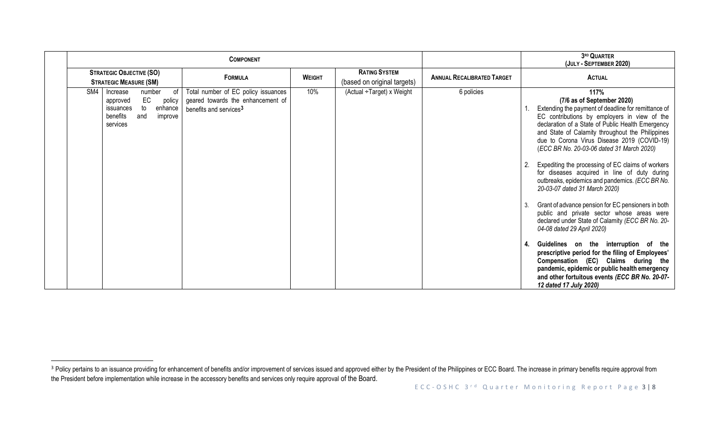|                                                                                                                                     | <b>COMPONENT</b>                                                                                               |               |                                                     | 3RD QUARTER<br>(JULY - SEPTEMBER 2020) |                 |                                                                                                                                                                                                                                                                                                                                                                                                                                                                                                                                                                                                                                                                                                                                                                                                                                                                                                                    |
|-------------------------------------------------------------------------------------------------------------------------------------|----------------------------------------------------------------------------------------------------------------|---------------|-----------------------------------------------------|----------------------------------------|-----------------|--------------------------------------------------------------------------------------------------------------------------------------------------------------------------------------------------------------------------------------------------------------------------------------------------------------------------------------------------------------------------------------------------------------------------------------------------------------------------------------------------------------------------------------------------------------------------------------------------------------------------------------------------------------------------------------------------------------------------------------------------------------------------------------------------------------------------------------------------------------------------------------------------------------------|
| <b>STRATEGIC OBJECTIVE (SO)</b><br><b>STRATEGIC MEASURE (SM)</b>                                                                    | <b>FORMULA</b>                                                                                                 | <b>WEIGHT</b> | <b>RATING SYSTEM</b><br>(based on original targets) | <b>ANNUAL RECALIBRATED TARGET</b>      |                 | <b>ACTUAL</b>                                                                                                                                                                                                                                                                                                                                                                                                                                                                                                                                                                                                                                                                                                                                                                                                                                                                                                      |
| SM4<br>Increase<br>of<br>number<br>EC<br>policy<br>approved<br>to<br>enhance<br>issuances<br>benefits<br>and<br>improve<br>services | Total number of EC policy issuances<br>geared towards the enhancement of<br>benefits and services <sup>3</sup> | 10%           | (Actual ÷Target) x Weight                           | 6 policies                             | -2.<br>3.<br>4. | 117%<br>(7/6 as of September 2020)<br>Extending the payment of deadline for remittance of<br>EC contributions by employers in view of the<br>declaration of a State of Public Health Emergency<br>and State of Calamity throughout the Philippines<br>due to Corona Virus Disease 2019 (COVID-19)<br>(ECC BR No. 20-03-06 dated 31 March 2020)<br>Expediting the processing of EC claims of workers<br>for diseases acquired in line of duty during<br>outbreaks, epidemics and pandemics. (ECC BR No.<br>20-03-07 dated 31 March 2020)<br>Grant of advance pension for EC pensioners in both<br>public and private sector whose areas were<br>declared under State of Calamity (ECC BR No. 20-<br>04-08 dated 29 April 2020)<br>Guidelines on the interruption of the<br>prescriptive period for the filing of Employees'<br>Compensation (EC) Claims during the<br>pandemic, epidemic or public health emergency |
|                                                                                                                                     |                                                                                                                |               |                                                     |                                        |                 | and other fortuitous events (ECC BR No. 20-07-<br>12 dated 17 July 2020)                                                                                                                                                                                                                                                                                                                                                                                                                                                                                                                                                                                                                                                                                                                                                                                                                                           |

<sup>&</sup>lt;sup>3</sup> Policy pertains to an issuance providing for enhancement of benefits and/or improvement of services issued and approved either by the President of the Philippines or ECC Board. The increase in primary benefits require the President before implementation while increase in the accessory benefits and services only require approval of the Board.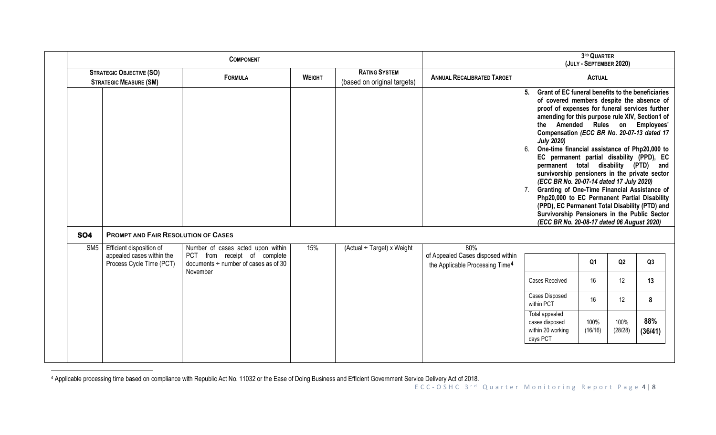|                 |                                                                                   |                                                                                                                            |               | 3RD QUARTER<br>(JULY - SEPTEMBER 2020)              |                                                                                         |                                                                                                                                                                                                                                                                                                                                                                                                                                                                                                                                                                                                                                                                                                                                                                                                          |                 |                 |                |
|-----------------|-----------------------------------------------------------------------------------|----------------------------------------------------------------------------------------------------------------------------|---------------|-----------------------------------------------------|-----------------------------------------------------------------------------------------|----------------------------------------------------------------------------------------------------------------------------------------------------------------------------------------------------------------------------------------------------------------------------------------------------------------------------------------------------------------------------------------------------------------------------------------------------------------------------------------------------------------------------------------------------------------------------------------------------------------------------------------------------------------------------------------------------------------------------------------------------------------------------------------------------------|-----------------|-----------------|----------------|
|                 | <b>STRATEGIC OBJECTIVE (SO)</b><br><b>STRATEGIC MEASURE (SM)</b>                  | <b>FORMULA</b>                                                                                                             | <b>WEIGHT</b> | <b>RATING SYSTEM</b><br>(based on original targets) | <b>ANNUAL RECALIBRATED TARGET</b>                                                       | <b>ACTUAL</b>                                                                                                                                                                                                                                                                                                                                                                                                                                                                                                                                                                                                                                                                                                                                                                                            |                 |                 |                |
|                 |                                                                                   |                                                                                                                            |               |                                                     |                                                                                         | Grant of EC funeral benefits to the beneficiaries<br>5.<br>of covered members despite the absence of<br>proof of expenses for funeral services further<br>amending for this purpose rule XIV, Section1 of<br>the Amended Rules on Employees'<br>Compensation (ECC BR No. 20-07-13 dated 17<br><b>July 2020)</b><br>One-time financial assistance of Php20,000 to<br>6.<br>EC permanent partial disability (PPD), EC<br>permanent total disability (PTD) and<br>survivorship pensioners in the private sector<br>(ECC BR No. 20-07-14 dated 17 July 2020)<br>Granting of One-Time Financial Assistance of<br>Php20,000 to EC Permanent Partial Disability<br>(PPD), EC Permanent Total Disability (PTD) and<br>Survivorship Pensioners in the Public Sector<br>(ECC BR No. 20-08-17 dated 06 August 2020) |                 |                 |                |
| <b>SO4</b>      | <b>PROMPT AND FAIR RESOLUTION OF CASES</b>                                        |                                                                                                                            |               |                                                     |                                                                                         |                                                                                                                                                                                                                                                                                                                                                                                                                                                                                                                                                                                                                                                                                                                                                                                                          |                 |                 |                |
| SM <sub>5</sub> | Efficient disposition of<br>appealed cases within the<br>Process Cycle Time (PCT) | Number of cases acted upon within<br>PCT from receipt of complete<br>documents $\div$ number of cases as of 30<br>November | 15%           | $(Actual \div Target) \times Weight$                | 80%<br>of Appealed Cases disposed within<br>the Applicable Processing Time <sup>4</sup> |                                                                                                                                                                                                                                                                                                                                                                                                                                                                                                                                                                                                                                                                                                                                                                                                          | Q <sub>1</sub>  | Q2              | Q3             |
|                 |                                                                                   |                                                                                                                            |               |                                                     |                                                                                         | Cases Received                                                                                                                                                                                                                                                                                                                                                                                                                                                                                                                                                                                                                                                                                                                                                                                           | 16              | 12              | 13             |
|                 |                                                                                   |                                                                                                                            |               |                                                     |                                                                                         | Cases Disposed<br>within PCT                                                                                                                                                                                                                                                                                                                                                                                                                                                                                                                                                                                                                                                                                                                                                                             | 16              | 12              | 8              |
|                 |                                                                                   |                                                                                                                            |               |                                                     |                                                                                         | Total appealed<br>cases disposed<br>within 20 working<br>days PCT                                                                                                                                                                                                                                                                                                                                                                                                                                                                                                                                                                                                                                                                                                                                        | 100%<br>(16/16) | 100%<br>(28/28) | 88%<br>(36/41) |
|                 |                                                                                   |                                                                                                                            |               |                                                     |                                                                                         |                                                                                                                                                                                                                                                                                                                                                                                                                                                                                                                                                                                                                                                                                                                                                                                                          |                 |                 |                |

<sup>4</sup> Applicable processing time based on compliance with Republic Act No. 11032 or the Ease of Doing Business and Efficient Government Service Delivery Act of 2018.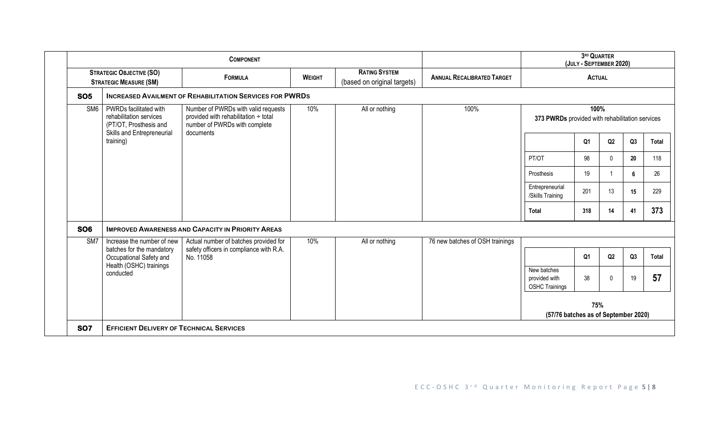|                 |                                                                                 |                                                                                                              | 3RD QUARTER<br>(JULY - SEPTEMBER 2020) |                                                     |                                   |                                                         |                |               |    |              |
|-----------------|---------------------------------------------------------------------------------|--------------------------------------------------------------------------------------------------------------|----------------------------------------|-----------------------------------------------------|-----------------------------------|---------------------------------------------------------|----------------|---------------|----|--------------|
|                 | <b>STRATEGIC OBJECTIVE (SO)</b><br><b>STRATEGIC MEASURE (SM)</b>                | <b>FORMULA</b>                                                                                               | <b>WEIGHT</b>                          | <b>RATING SYSTEM</b><br>(based on original targets) | <b>ANNUAL RECALIBRATED TARGET</b> |                                                         |                | <b>ACTUAL</b> |    |              |
| <b>SO5</b>      |                                                                                 | <b>INCREASED AVAILMENT OF REHABILITATION SERVICES FOR PWRDS</b>                                              |                                        |                                                     |                                   |                                                         |                |               |    |              |
| SM <sub>6</sub> | PWRDs facilitated with<br>rehabilitation services<br>(PT/OT, Prosthesis and     | Number of PWRDs with valid requests<br>provided with rehabilitation ÷ total<br>number of PWRDs with complete | 10%                                    | All or nothing                                      | 100%                              | 100%<br>373 PWRDs provided with rehabilitation services |                |               |    |              |
|                 | Skills and Entrepreneurial<br>training)                                         | documents                                                                                                    |                                        |                                                     |                                   |                                                         | Q <sub>1</sub> | Q2            | Q3 | <b>Total</b> |
|                 |                                                                                 |                                                                                                              |                                        |                                                     |                                   | PT/OT                                                   | 98             | $\Omega$      | 20 | 118          |
|                 |                                                                                 |                                                                                                              |                                        |                                                     |                                   | Prosthesis                                              | 19             |               | 6  | 26           |
|                 |                                                                                 |                                                                                                              |                                        |                                                     |                                   | Entrepreneurial<br>/Skills Training                     | 201            | 13            | 15 | 229          |
|                 |                                                                                 |                                                                                                              |                                        |                                                     |                                   | Total                                                   | 318            | 14            | 41 | 373          |
| <b>SO6</b>      |                                                                                 | <b>IMPROVED AWARENESS AND CAPACITY IN PRIORITY AREAS</b>                                                     |                                        |                                                     |                                   |                                                         |                |               |    |              |
| SM7             | Increase the number of new                                                      | Actual number of batches provided for                                                                        | 10%                                    | All or nothing                                      | 76 new batches of OSH trainings   |                                                         |                |               |    |              |
|                 | batches for the mandatory<br>Occupational Safety and<br>Health (OSHC) trainings | safety officers in compliance with R.A.<br>No. 11058                                                         |                                        |                                                     |                                   |                                                         | Q1             | Q2            | Q3 | Total        |
|                 | conducted                                                                       |                                                                                                              |                                        |                                                     |                                   | New batches<br>provided with<br><b>OSHC Trainings</b>   | 38             | $\Omega$      | 19 | 57           |
|                 |                                                                                 |                                                                                                              |                                        |                                                     |                                   | 75%<br>(57/76 batches as of September 2020)             |                |               |    |              |
| <b>SO7</b>      | <b>EFFICIENT DELIVERY OF TECHNICAL SERVICES</b>                                 |                                                                                                              |                                        |                                                     |                                   |                                                         |                |               |    |              |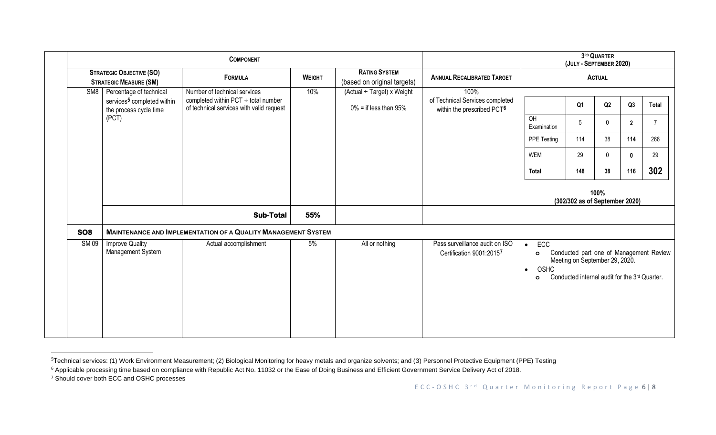|                 |                                                                                                      | <b>COMPONENT</b>                                                                                                     |               | 3RD QUARTER<br>(JULY - SEPTEMBER 2020)                 |                                                                                   |                                                                                                                                                                                           |                                         |                                                       |                                                    |                                             |
|-----------------|------------------------------------------------------------------------------------------------------|----------------------------------------------------------------------------------------------------------------------|---------------|--------------------------------------------------------|-----------------------------------------------------------------------------------|-------------------------------------------------------------------------------------------------------------------------------------------------------------------------------------------|-----------------------------------------|-------------------------------------------------------|----------------------------------------------------|---------------------------------------------|
|                 | <b>STRATEGIC OBJECTIVE (SO)</b><br><b>STRATEGIC MEASURE (SM)</b>                                     | <b>FORMULA</b>                                                                                                       | <b>WEIGHT</b> | <b>RATING SYSTEM</b><br>(based on original targets)    | <b>ANNUAL RECALIBRATED TARGET</b>                                                 | <b>ACTUAL</b>                                                                                                                                                                             |                                         |                                                       |                                                    |                                             |
| SM <sub>8</sub> | Percentage of technical<br>services <sup>5</sup> completed within<br>the process cycle time<br>(PCT) | Number of technical services<br>completed within $PCT \div$ total number<br>of technical services with valid request | 10%           | (Actual ÷ Target) x Weight<br>$0\%$ = if less than 95% | 100%<br>of Technical Services completed<br>within the prescribed PCT <sup>6</sup> | OH<br>Examination<br>PPE Testing<br>WEM<br><b>Total</b>                                                                                                                                   | Q <sub>1</sub><br>5<br>114<br>29<br>148 | Q2<br>$\mathbf 0$<br>38<br>$\mathbf{0}$<br>38<br>100% | Q3<br>$\overline{2}$<br>114<br>$\mathbf{0}$<br>116 | Total<br>$\overline{7}$<br>266<br>29<br>302 |
|                 |                                                                                                      | <b>Sub-Total</b>                                                                                                     | 55%           |                                                        |                                                                                   |                                                                                                                                                                                           | (302/302 as of September 2020)          |                                                       |                                                    |                                             |
| SO <sub>8</sub> |                                                                                                      | <b>MAINTENANCE AND IMPLEMENTATION OF A QUALITY MANAGEMENT SYSTEM</b>                                                 |               |                                                        |                                                                                   |                                                                                                                                                                                           |                                         |                                                       |                                                    |                                             |
| <b>SM09</b>     | <b>Improve Quality</b><br>Management System                                                          | Actual accomplishment                                                                                                | 5%            | All or nothing                                         | Pass surveillance audit on ISO<br>Certification 9001:20157                        | ECC<br>$\bullet$<br>Conducted part one of Management Review<br>$\circ$<br>Meeting on September 29, 2020.<br>OSHC<br>$\bullet$<br>Conducted internal audit for the 3rd Quarter.<br>$\circ$ |                                         |                                                       |                                                    |                                             |

<sup>&</sup>lt;sup>5</sup>Technical services: (1) Work Environment Measurement; (2) Biological Monitoring for heavy metals and organize solvents; and (3) Personnel Protective Equipment (PPE) Testing

<sup>7</sup> Should cover both ECC and OSHC processes

<sup>&</sup>lt;sup>6</sup> Applicable processing time based on compliance with Republic Act No. 11032 or the Ease of Doing Business and Efficient Government Service Delivery Act of 2018.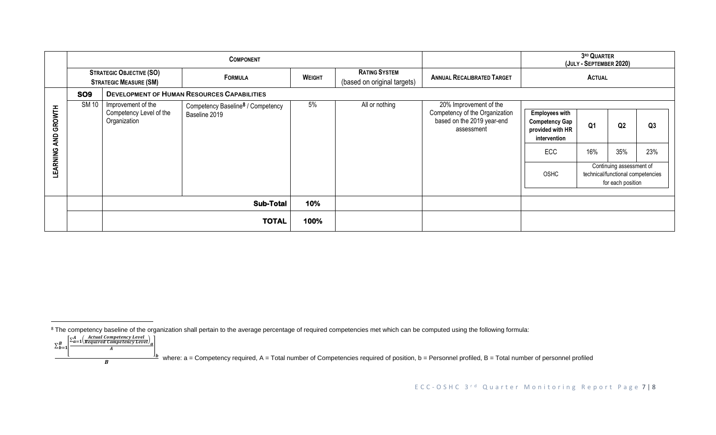|                          |              |                                                                  | <b>COMPONENT</b>                                               |               | 3RD QUARTER<br>(JULY - SEPTEMBER 2020)              |                                                                                                      |                                                                                                                                                                                                                                      |  |  |           |
|--------------------------|--------------|------------------------------------------------------------------|----------------------------------------------------------------|---------------|-----------------------------------------------------|------------------------------------------------------------------------------------------------------|--------------------------------------------------------------------------------------------------------------------------------------------------------------------------------------------------------------------------------------|--|--|-----------|
|                          |              | <b>STRATEGIC OBJECTIVE (SO)</b><br><b>STRATEGIC MEASURE (SM)</b> | <b>FORMULA</b>                                                 | <b>WEIGHT</b> | <b>RATING SYSTEM</b><br>(based on original targets) | <b>ANNUAL RECALIBRATED TARGET</b>                                                                    |                                                                                                                                                                                                                                      |  |  |           |
|                          | <b>SO9</b>   | <b>DEVELOPMENT OF HUMAN RESOURCES CAPABILITIES</b>               |                                                                |               |                                                     |                                                                                                      |                                                                                                                                                                                                                                      |  |  |           |
| GROWTH<br>QИ<br>LEARNING | <b>SM 10</b> | Improvement of the<br>Competency Level of the<br>Organization    | Competency Baseline <sup>8</sup> / Competency<br>Baseline 2019 | 5%            | All or nothing                                      | 20% Improvement of the<br>Competency of the Organization<br>based on the 2019 year-end<br>assessment | <b>Employees with</b><br><b>Competency Gap</b><br>Q <sub>1</sub><br>Q2<br>provided with HR<br>intervention<br>16%<br>35%<br><b>ECC</b><br>Continuing assessment of<br>OSHC<br>technical/functional competencies<br>for each position |  |  | Q3<br>23% |
|                          |              |                                                                  | <b>Sub-Total</b>                                               | 10%           |                                                     |                                                                                                      |                                                                                                                                                                                                                                      |  |  |           |
|                          |              |                                                                  | <b>TOTAL</b>                                                   | 100%          |                                                     |                                                                                                      |                                                                                                                                                                                                                                      |  |  |           |

<sup>&</sup>lt;sup>8</sup> The competency baseline of the organization shall pertain to the average percentage of required competencies met which can be computed using the following formula:

 $\sum_{b=1}^B$  $\sum_{h=1}^{B} \left[ \frac{\sum_{a=1}^{A} \left( \frac{Actual \, Competency \, Level}{Required \, Competency \, Level} \right)_{a}}{\frac{A}{A}} \right]$  $\boldsymbol{A}$  $\overline{B}$ 

where: a = Competency required, A = Total number of Competencies required of position, b = Personnel profiled, B = Total number of personnel profiled